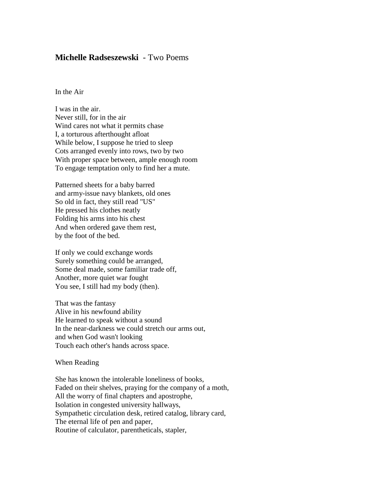## **Michelle Radseszewski** - Two Poems

In the Air

I was in the air. Never still, for in the air Wind cares not what it permits chase I, a torturous afterthought afloat While below, I suppose he tried to sleep Cots arranged evenly into rows, two by two With proper space between, ample enough room To engage temptation only to find her a mute.

Patterned sheets for a baby barred and army-issue navy blankets, old ones So old in fact, they still read "US" He pressed his clothes neatly Folding his arms into his chest And when ordered gave them rest, by the foot of the bed.

If only we could exchange words Surely something could be arranged, Some deal made, some familiar trade off, Another, more quiet war fought You see, I still had my body (then).

That was the fantasy Alive in his newfound ability He learned to speak without a sound In the near-darkness we could stretch our arms out, and when God wasn't looking Touch each other's hands across space.

When Reading

She has known the intolerable loneliness of books, Faded on their shelves, praying for the company of a moth, All the worry of final chapters and apostrophe, Isolation in congested university hallways, Sympathetic circulation desk, retired catalog, library card, The eternal life of pen and paper, Routine of calculator, parentheticals, stapler,